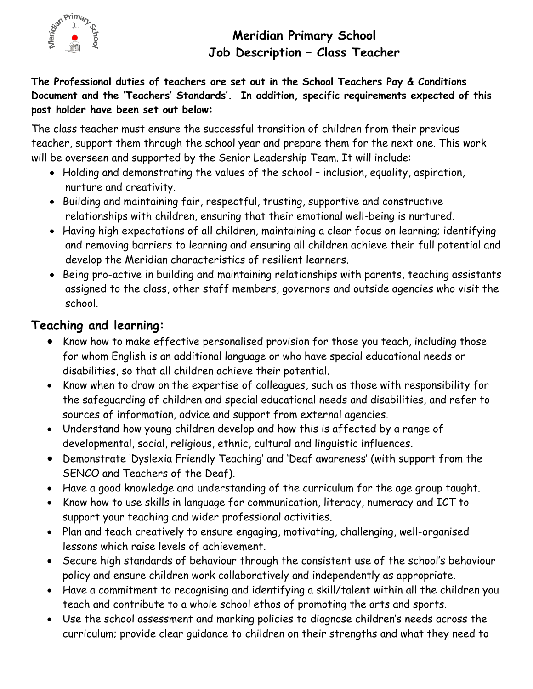

# **Meridian Primary School Job Description – Class Teacher**

**The Professional duties of teachers are set out in the School Teachers Pay & Conditions Document and the 'Teachers' Standards'. In addition, specific requirements expected of this post holder have been set out below:**

The class teacher must ensure the successful transition of children from their previous teacher, support them through the school year and prepare them for the next one. This work will be overseen and supported by the Senior Leadership Team. It will include:

- Holding and demonstrating the values of the school inclusion, equality, aspiration, nurture and creativity.
- Building and maintaining fair, respectful, trusting, supportive and constructive relationships with children, ensuring that their emotional well-being is nurtured.
- Having high expectations of all children, maintaining a clear focus on learning; identifying and removing barriers to learning and ensuring all children achieve their full potential and develop the Meridian characteristics of resilient learners.
- Being pro-active in building and maintaining relationships with parents, teaching assistants assigned to the class, other staff members, governors and outside agencies who visit the school.

### **Teaching and learning:**

- Know how to make effective personalised provision for those you teach, including those for whom English is an additional language or who have special educational needs or disabilities, so that all children achieve their potential.
- Know when to draw on the expertise of colleagues, such as those with responsibility for the safeguarding of children and special educational needs and disabilities, and refer to sources of information, advice and support from external agencies.
- Understand how young children develop and how this is affected by a range of developmental, social, religious, ethnic, cultural and linguistic influences.
- Demonstrate 'Dyslexia Friendly Teaching' and 'Deaf awareness' (with support from the SENCO and Teachers of the Deaf).
- Have a good knowledge and understanding of the curriculum for the age group taught.
- Know how to use skills in language for communication, literacy, numeracy and ICT to support your teaching and wider professional activities.
- Plan and teach creatively to ensure engaging, motivating, challenging, well-organised lessons which raise levels of achievement.
- Secure high standards of behaviour through the consistent use of the school's behaviour policy and ensure children work collaboratively and independently as appropriate.
- Have a commitment to recognising and identifying a skill/talent within all the children you teach and contribute to a whole school ethos of promoting the arts and sports.
- Use the school assessment and marking policies to diagnose children's needs across the curriculum; provide clear guidance to children on their strengths and what they need to